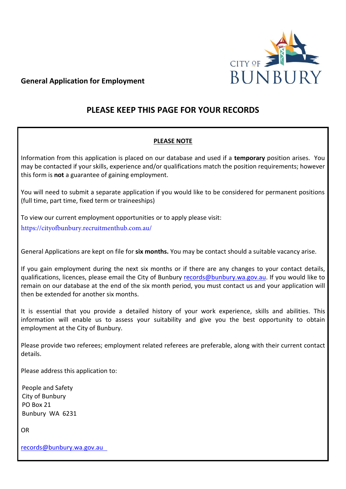

## **General Application for Employment**

# **PLEASE KEEP THIS PAGE FOR YOUR RECORDS**

## **PLEASE NOTE**

Information from this application is placed on our database and used if a **temporary** position arises. You may be contacted if your skills, experience and/or qualifications match the position requirements; however this form is **not** a guarantee of gaining employment.

You will need to submit a separate application if you would like to be considered for permanent positions (full time, part time, fixed term or traineeships)

To view our current employment opportunities or to apply please visit:

[https://cityofbunbury.recruitmenthu](http://www.bunbury.currentjobs.com.au/)b.com.au/

General Applications are kept on file for **six months.** You may be contact should a suitable vacancy arise.

If you gain employment during the next six months or if there are any changes to your contact details, qualifications, licences, please email the City of Bunbury records[@bunbury.wa.gov.au. If](mailto:twestrup@bunbury.wa.gov.au) you would like to remain on our database at the end of the six month period, you must contact us and your application will then be extended for another six months.

It is essential that you provide a detailed history of your work experience, skills and abilities. This information will enable us to assess your suitability and give you the best opportunity to obtain employment at the City of Bunbury.

Please provide two referees; employment related referees are preferable, along with their current contact details.

Please address this application to:

People and Safety City of Bunbury PO Box 21 Bunbury WA 6231

OR

records[@bunbury.wa.gov.au](mailto:twestrup@bunbury.wa.gov.au)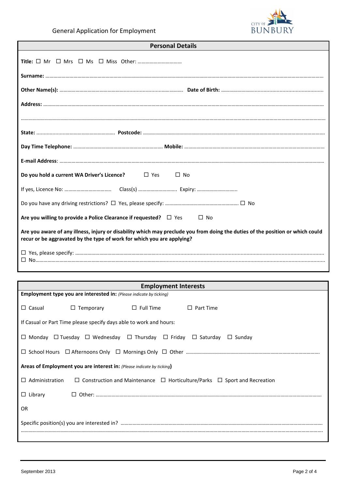

| <b>Personal Details</b>                                                                                                                                                                                  |  |  |
|----------------------------------------------------------------------------------------------------------------------------------------------------------------------------------------------------------|--|--|
|                                                                                                                                                                                                          |  |  |
|                                                                                                                                                                                                          |  |  |
|                                                                                                                                                                                                          |  |  |
|                                                                                                                                                                                                          |  |  |
|                                                                                                                                                                                                          |  |  |
|                                                                                                                                                                                                          |  |  |
|                                                                                                                                                                                                          |  |  |
|                                                                                                                                                                                                          |  |  |
| $\Box$ Yes<br>$\Box$ No<br>Do you hold a current WA Driver's Licence?                                                                                                                                    |  |  |
|                                                                                                                                                                                                          |  |  |
|                                                                                                                                                                                                          |  |  |
| Are you willing to provide a Police Clearance if requested? $\Box$ Yes<br>$\Box$ No                                                                                                                      |  |  |
| Are you aware of any illness, injury or disability which may preclude you from doing the duties of the position or which could<br>recur or be aggravated by the type of work for which you are applying? |  |  |
| П                                                                                                                                                                                                        |  |  |

| <b>Employment Interests</b>                                           |                                                                                                           |             |  |
|-----------------------------------------------------------------------|-----------------------------------------------------------------------------------------------------------|-------------|--|
|                                                                       | <b>Employment type you are interested in:</b> (Please indicate by ticking)                                |             |  |
| $\Box$ Casual                                                         | $\Box$ Temporary $\Box$ Full Time                                                                         | □ Part Time |  |
|                                                                       | If Casual or Part Time please specify days able to work and hours:                                        |             |  |
|                                                                       | $\Box$ Monday $\Box$ Tuesday $\Box$ Wednesday $\Box$ Thursday $\Box$ Friday $\Box$ Saturday $\Box$ Sunday |             |  |
|                                                                       |                                                                                                           |             |  |
| Areas of Employment you are interest in: (Please indicate by ticking) |                                                                                                           |             |  |
| $\Box$ Administration                                                 | $\Box$ Construction and Maintenance $\Box$ Horticulture/Parks $\Box$ Sport and Recreation                 |             |  |
| $\Box$ Library                                                        |                                                                                                           |             |  |
| OR                                                                    |                                                                                                           |             |  |
|                                                                       |                                                                                                           |             |  |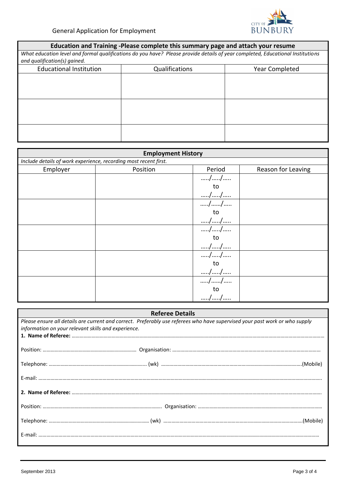

| Education and Training -Please complete this summary page and attach your resume |                                                                                                                                |                |  |
|----------------------------------------------------------------------------------|--------------------------------------------------------------------------------------------------------------------------------|----------------|--|
|                                                                                  | What education level and formal qualifications do you have? Please provide details of year completed, Educational Institutions |                |  |
| and qualification(s) gained.                                                     |                                                                                                                                |                |  |
| <b>Educational Institution</b>                                                   | Qualifications                                                                                                                 | Year Completed |  |
|                                                                                  |                                                                                                                                |                |  |
|                                                                                  |                                                                                                                                |                |  |
|                                                                                  |                                                                                                                                |                |  |
|                                                                                  |                                                                                                                                |                |  |
|                                                                                  |                                                                                                                                |                |  |
|                                                                                  |                                                                                                                                |                |  |
|                                                                                  |                                                                                                                                |                |  |
|                                                                                  |                                                                                                                                |                |  |

| <b>Employment History</b>                                        |          |                                   |                    |
|------------------------------------------------------------------|----------|-----------------------------------|--------------------|
| Include details of work experience, recording most recent first. |          |                                   |                    |
| Employer                                                         | Position | Period                            | Reason for Leaving |
|                                                                  |          | //                                |                    |
|                                                                  |          | to                                |                    |
|                                                                  |          | $// \label{1}$                    |                    |
|                                                                  |          | //                                |                    |
|                                                                  |          | to                                |                    |
|                                                                  |          | $// \label{1}$                    |                    |
|                                                                  |          | //                                |                    |
|                                                                  |          | to                                |                    |
|                                                                  |          | $\dots \dots /\dots \dots /\dots$ |                    |
|                                                                  |          | //                                |                    |
|                                                                  |          | to                                |                    |
|                                                                  |          | $// \label{1}$                    |                    |
|                                                                  |          | //                                |                    |
|                                                                  |          | to                                |                    |
|                                                                  |          | //                                |                    |

| Please ensure all details are current and correct. Preferably use referees who have supervised your past work or who supply<br>information on your relevant skills and experience. |  |
|------------------------------------------------------------------------------------------------------------------------------------------------------------------------------------|--|
|                                                                                                                                                                                    |  |
|                                                                                                                                                                                    |  |
|                                                                                                                                                                                    |  |
|                                                                                                                                                                                    |  |
|                                                                                                                                                                                    |  |
|                                                                                                                                                                                    |  |
|                                                                                                                                                                                    |  |
|                                                                                                                                                                                    |  |